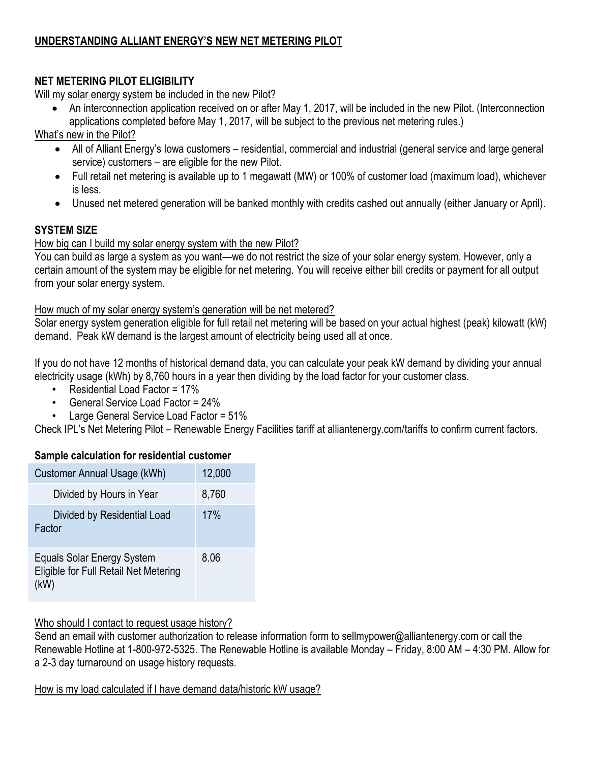# **UNDERSTANDING ALLIANT ENERGY'S NEW NET METERING PILOT**

# **NET METERING PILOT ELIGIBILITY**

Will my solar energy system be included in the new Pilot?

 An interconnection application received on or after May 1, 2017, will be included in the new Pilot. (Interconnection applications completed before May 1, 2017, will be subject to the previous net metering rules.)

What's new in the Pilot?

- All of Alliant Energy's Iowa customers residential, commercial and industrial (general service and large general service) customers – are eligible for the new Pilot.
- Full retail net metering is available up to 1 megawatt (MW) or 100% of customer load (maximum load), whichever is less.
- Unused net metered generation will be banked monthly with credits cashed out annually (either January or April).

## **SYSTEM SIZE**

### How big can I build my solar energy system with the new Pilot?

You can build as large a system as you want—we do not restrict the size of your solar energy system. However, only a certain amount of the system may be eligible for net metering. You will receive either bill credits or payment for all output from your solar energy system.

#### How much of my solar energy system's generation will be net metered?

Solar energy system generation eligible for full retail net metering will be based on your actual highest (peak) kilowatt (kW) demand. Peak kW demand is the largest amount of electricity being used all at once.

If you do not have 12 months of historical demand data, you can calculate your peak kW demand by dividing your annual electricity usage (kWh) by 8,760 hours in a year then dividing by the load factor for your customer class.

- Residential Load Factor = 17%
- General Service Load Factor = 24%
- Large General Service Load Factor = 51%

Check IPL's Net Metering Pilot – Renewable Energy Facilities tariff at alliantenergy.com/tariffs to confirm current factors.

#### **Sample calculation for residential customer**

| Customer Annual Usage (kWh)                                                 | 12,000 |
|-----------------------------------------------------------------------------|--------|
| Divided by Hours in Year                                                    | 8,760  |
| Divided by Residential Load<br>Factor                                       | 17%    |
| Equals Solar Energy System<br>Eligible for Full Retail Net Metering<br>(kW) | 8.06   |

## Who should I contact to request usage history?

Send an email with customer authorization to release information form to sellmypower@alliantenergy.com or call the Renewable Hotline at 1-800-972-5325. The Renewable Hotline is available Monday – Friday, 8:00 AM – 4:30 PM. Allow for a 2-3 day turnaround on usage history requests.

How is my load calculated if I have demand data/historic kW usage?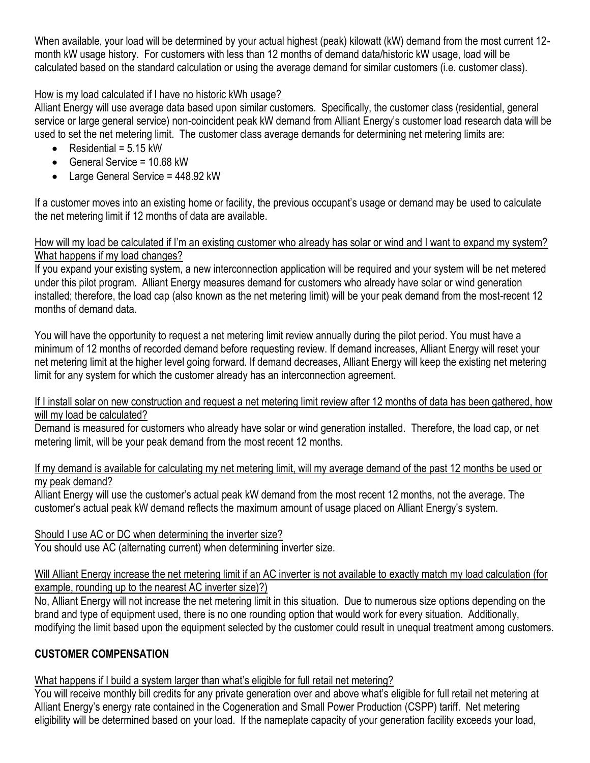When available, your load will be determined by your actual highest (peak) kilowatt (kW) demand from the most current 12 month kW usage history. For customers with less than 12 months of demand data/historic kW usage, load will be calculated based on the standard calculation or using the average demand for similar customers (i.e. customer class).

# How is my load calculated if I have no historic kWh usage?

Alliant Energy will use average data based upon similar customers. Specifically, the customer class (residential, general service or large general service) non-coincident peak kW demand from Alliant Energy's customer load research data will be used to set the net metering limit. The customer class average demands for determining net metering limits are:

- Residential =  $5.15 \text{ kW}$
- General Service = 10.68 kW
- Large General Service = 448.92 kW

If a customer moves into an existing home or facility, the previous occupant's usage or demand may be used to calculate the net metering limit if 12 months of data are available.

### How will my load be calculated if I'm an existing customer who already has solar or wind and I want to expand my system? What happens if my load changes?

If you expand your existing system, a new interconnection application will be required and your system will be net metered under this pilot program. Alliant Energy measures demand for customers who already have solar or wind generation installed; therefore, the load cap (also known as the net metering limit) will be your peak demand from the most-recent 12 months of demand data.

You will have the opportunity to request a net metering limit review annually during the pilot period. You must have a minimum of 12 months of recorded demand before requesting review. If demand increases, Alliant Energy will reset your net metering limit at the higher level going forward. If demand decreases, Alliant Energy will keep the existing net metering limit for any system for which the customer already has an interconnection agreement.

#### If I install solar on new construction and request a net metering limit review after 12 months of data has been gathered, how will my load be calculated?

Demand is measured for customers who already have solar or wind generation installed. Therefore, the load cap, or net metering limit, will be your peak demand from the most recent 12 months.

## If my demand is available for calculating my net metering limit, will my average demand of the past 12 months be used or my peak demand?

Alliant Energy will use the customer's actual peak kW demand from the most recent 12 months, not the average. The customer's actual peak kW demand reflects the maximum amount of usage placed on Alliant Energy's system.

## Should I use AC or DC when determining the inverter size?

You should use AC (alternating current) when determining inverter size.

## Will Alliant Energy increase the net metering limit if an AC inverter is not available to exactly match my load calculation (for example, rounding up to the nearest AC inverter size)?)

No, Alliant Energy will not increase the net metering limit in this situation. Due to numerous size options depending on the brand and type of equipment used, there is no one rounding option that would work for every situation. Additionally, modifying the limit based upon the equipment selected by the customer could result in unequal treatment among customers.

# **CUSTOMER COMPENSATION**

## What happens if I build a system larger than what's eligible for full retail net metering?

You will receive monthly bill credits for any private generation over and above what's eligible for full retail net metering at Alliant Energy's energy rate contained in the Cogeneration and Small Power Production (CSPP) tariff. Net metering eligibility will be determined based on your load. If the nameplate capacity of your generation facility exceeds your load,